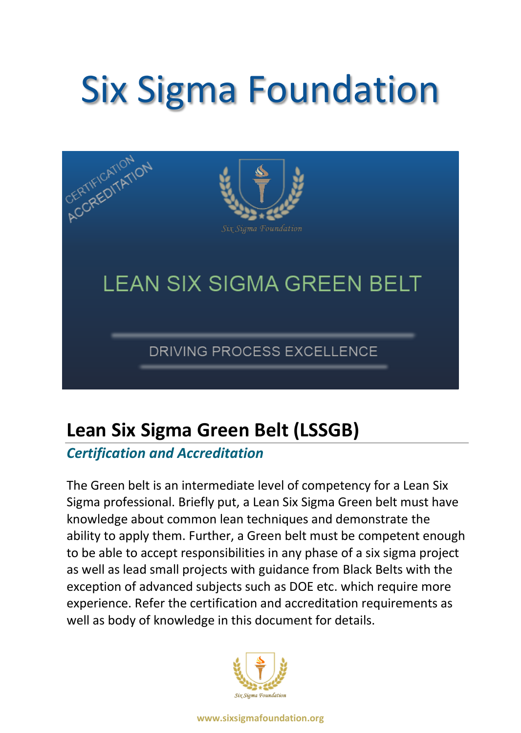# Six Sigma Foundation



# **Lean Six Sigma Green Belt (LSSGB)**

## *Certification and Accreditation*

The Green belt is an intermediate level of competency for a Lean Six Sigma professional. Briefly put, a Lean Six Sigma Green belt must have knowledge about common lean techniques and demonstrate the ability to apply them. Further, a Green belt must be competent enough to be able to accept responsibilities in any phase of a six sigma project as well as lead small projects with guidance from Black Belts with the exception of advanced subjects such as DOE etc. which require more experience. Refer the certification and accreditation requirements as well as body of knowledge in this document for details.

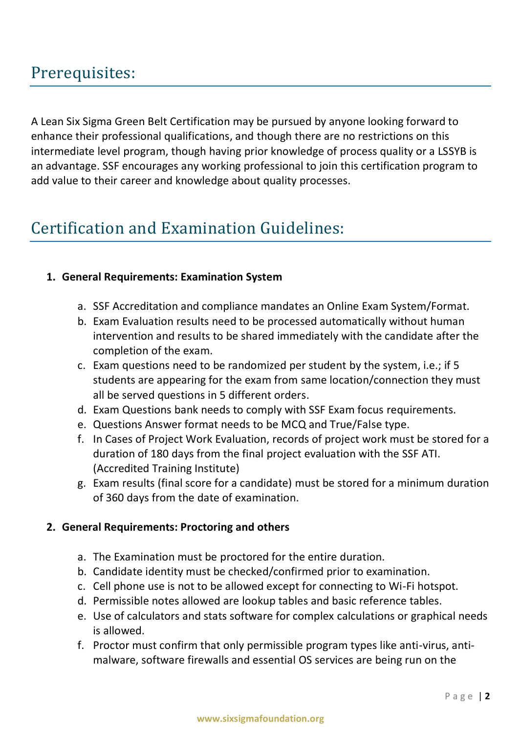## Prerequisites:

A Lean Six Sigma Green Belt Certification may be pursued by anyone looking forward to enhance their professional qualifications, and though there are no restrictions on this intermediate level program, though having prior knowledge of process quality or a LSSYB is an advantage. SSF encourages any working professional to join this certification program to add value to their career and knowledge about quality processes.

## Certification and Examination Guidelines:

#### **1. General Requirements: Examination System**

- a. SSF Accreditation and compliance mandates an Online Exam System/Format.
- b. Exam Evaluation results need to be processed automatically without human intervention and results to be shared immediately with the candidate after the completion of the exam.
- c. Exam questions need to be randomized per student by the system, i.e.; if 5 students are appearing for the exam from same location/connection they must all be served questions in 5 different orders.
- d. Exam Questions bank needs to comply with SSF Exam focus requirements.
- e. Questions Answer format needs to be MCQ and True/False type.
- f. In Cases of Project Work Evaluation, records of project work must be stored for a duration of 180 days from the final project evaluation with the SSF ATI. (Accredited Training Institute)
- g. Exam results (final score for a candidate) must be stored for a minimum duration of 360 days from the date of examination.

#### **2. General Requirements: Proctoring and others**

- a. The Examination must be proctored for the entire duration.
- b. Candidate identity must be checked/confirmed prior to examination.
- c. Cell phone use is not to be allowed except for connecting to Wi-Fi hotspot.
- d. Permissible notes allowed are lookup tables and basic reference tables.
- e. Use of calculators and stats software for complex calculations or graphical needs is allowed.
- f. Proctor must confirm that only permissible program types like anti-virus, antimalware, software firewalls and essential OS services are being run on the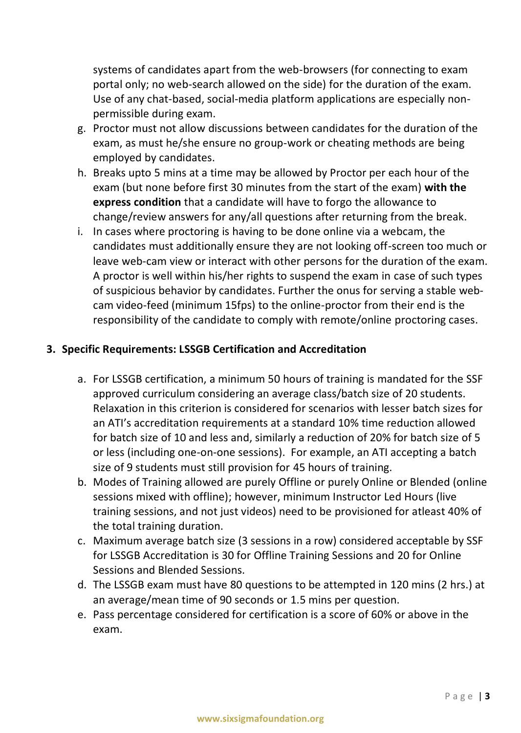systems of candidates apart from the web-browsers (for connecting to exam portal only; no web-search allowed on the side) for the duration of the exam. Use of any chat-based, social-media platform applications are especially nonpermissible during exam.

- g. Proctor must not allow discussions between candidates for the duration of the exam, as must he/she ensure no group-work or cheating methods are being employed by candidates.
- h. Breaks upto 5 mins at a time may be allowed by Proctor per each hour of the exam (but none before first 30 minutes from the start of the exam) **with the express condition** that a candidate will have to forgo the allowance to change/review answers for any/all questions after returning from the break.
- i. In cases where proctoring is having to be done online via a webcam, the candidates must additionally ensure they are not looking off-screen too much or leave web-cam view or interact with other persons for the duration of the exam. A proctor is well within his/her rights to suspend the exam in case of such types of suspicious behavior by candidates. Further the onus for serving a stable webcam video-feed (minimum 15fps) to the online-proctor from their end is the responsibility of the candidate to comply with remote/online proctoring cases.

#### **3. Specific Requirements: LSSGB Certification and Accreditation**

- a. For LSSGB certification, a minimum 50 hours of training is mandated for the SSF approved curriculum considering an average class/batch size of 20 students. Relaxation in this criterion is considered for scenarios with lesser batch sizes for an ATI's accreditation requirements at a standard 10% time reduction allowed for batch size of 10 and less and, similarly a reduction of 20% for batch size of 5 or less (including one-on-one sessions). For example, an ATI accepting a batch size of 9 students must still provision for 45 hours of training.
- b. Modes of Training allowed are purely Offline or purely Online or Blended (online sessions mixed with offline); however, minimum Instructor Led Hours (live training sessions, and not just videos) need to be provisioned for atleast 40% of the total training duration.
- c. Maximum average batch size (3 sessions in a row) considered acceptable by SSF for LSSGB Accreditation is 30 for Offline Training Sessions and 20 for Online Sessions and Blended Sessions.
- d. The LSSGB exam must have 80 questions to be attempted in 120 mins (2 hrs.) at an average/mean time of 90 seconds or 1.5 mins per question.
- e. Pass percentage considered for certification is a score of 60% or above in the exam.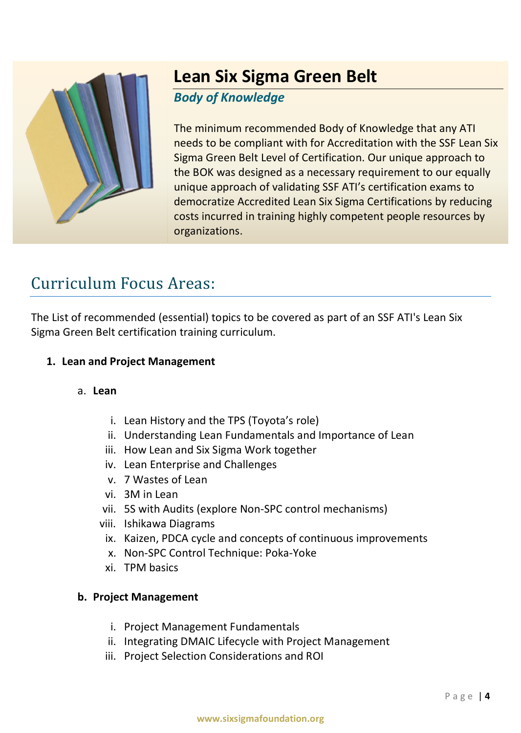

# **Lean Six Sigma Green Belt**

## *Body of Knowledge*

The minimum recommended Body of Knowledge that any ATI needs to be compliant with for Accreditation with the SSF Lean Six Sigma Green Belt Level of Certification. Our unique approach to the BOK was designed as a necessary requirement to our equally unique approach of validating SSF ATI's certification exams to democratize Accredited Lean Six Sigma Certifications by reducing costs incurred in training highly competent people resources by organizations.

# Curriculum Focus Areas:

The List of recommended (essential) topics to be covered as part of an SSF ATI's Lean Six Sigma Green Belt certification training curriculum.

## **1. Lean and Project Management**

## a. **Lean**

- i. Lean History and the TPS (Toyota's role)
- ii. Understanding Lean Fundamentals and Importance of Lean
- iii. How Lean and Six Sigma Work together
- iv. Lean Enterprise and Challenges
- v. 7 Wastes of Lean
- vi. 3M in Lean
- vii. 5S with Audits (explore Non-SPC control mechanisms)
- viii. Ishikawa Diagrams
	- ix. Kaizen, PDCA cycle and concepts of continuous improvements
	- x. Non-SPC Control Technique: Poka-Yoke
- xi. TPM basics

## **b. Project Management**

- i. Project Management Fundamentals
- ii. Integrating DMAIC Lifecycle with Project Management
- iii. Project Selection Considerations and ROI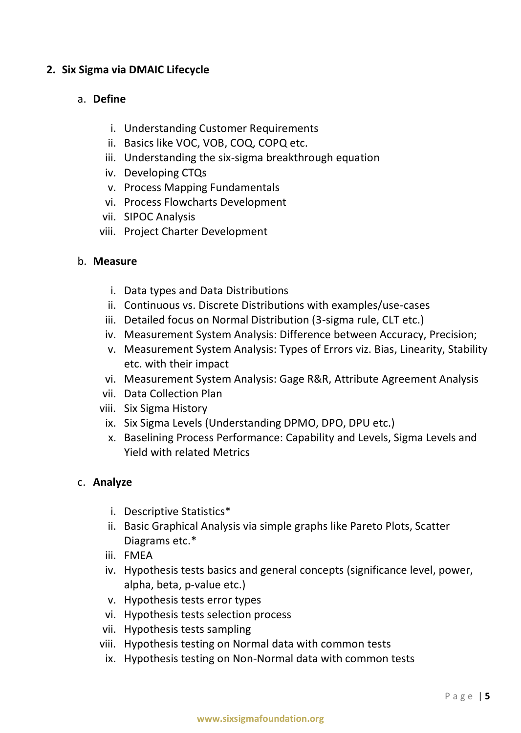#### **2. Six Sigma via DMAIC Lifecycle**

#### a. **Define**

- i. Understanding Customer Requirements
- ii. Basics like VOC, VOB, COQ, COPQ etc.
- iii. Understanding the six-sigma breakthrough equation
- iv. Developing CTQs
- v. Process Mapping Fundamentals
- vi. Process Flowcharts Development
- vii. SIPOC Analysis
- viii. Project Charter Development

#### b. **Measure**

- i. Data types and Data Distributions
- ii. Continuous vs. Discrete Distributions with examples/use-cases
- iii. Detailed focus on Normal Distribution (3-sigma rule, CLT etc.)
- iv. Measurement System Analysis: Difference between Accuracy, Precision;
- v. Measurement System Analysis: Types of Errors viz. Bias, Linearity, Stability etc. with their impact
- vi. Measurement System Analysis: Gage R&R, Attribute Agreement Analysis
- vii. Data Collection Plan
- viii. Six Sigma History
	- ix. Six Sigma Levels (Understanding DPMO, DPO, DPU etc.)
	- x. Baselining Process Performance: Capability and Levels, Sigma Levels and Yield with related Metrics

#### c. **Analyze**

- i. Descriptive Statistics\*
- ii. Basic Graphical Analysis via simple graphs like Pareto Plots, Scatter Diagrams etc.\*
- iii. FMEA
- iv. Hypothesis tests basics and general concepts (significance level, power, alpha, beta, p-value etc.)
- v. Hypothesis tests error types
- vi. Hypothesis tests selection process
- vii. Hypothesis tests sampling
- viii. Hypothesis testing on Normal data with common tests
	- ix. Hypothesis testing on Non-Normal data with common tests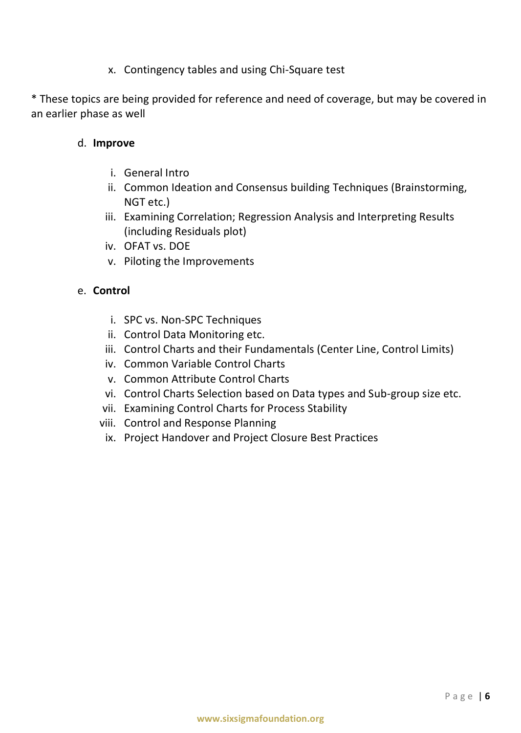x. Contingency tables and using Chi-Square test

\* These topics are being provided for reference and need of coverage, but may be covered in an earlier phase as well

#### d. **Improve**

- i. General Intro
- ii. Common Ideation and Consensus building Techniques (Brainstorming, NGT etc.)
- iii. Examining Correlation; Regression Analysis and Interpreting Results (including Residuals plot)
- iv. OFAT vs. DOE
- v. Piloting the Improvements

#### e. **Control**

- i. SPC vs. Non-SPC Techniques
- ii. Control Data Monitoring etc.
- iii. Control Charts and their Fundamentals (Center Line, Control Limits)
- iv. Common Variable Control Charts
- v. Common Attribute Control Charts
- vi. Control Charts Selection based on Data types and Sub-group size etc.
- vii. Examining Control Charts for Process Stability
- viii. Control and Response Planning
	- ix. Project Handover and Project Closure Best Practices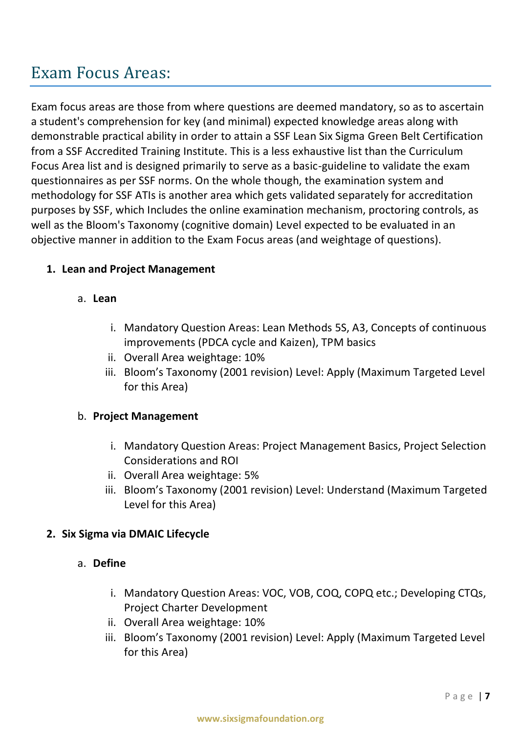## Exam Focus Areas:

Exam focus areas are those from where questions are deemed mandatory, so as to ascertain a student's comprehension for key (and minimal) expected knowledge areas along with demonstrable practical ability in order to attain a SSF Lean Six Sigma Green Belt Certification from a SSF Accredited Training Institute. This is a less exhaustive list than the Curriculum Focus Area list and is designed primarily to serve as a basic-guideline to validate the exam questionnaires as per SSF norms. On the whole though, the examination system and methodology for SSF ATIs is another area which gets validated separately for accreditation purposes by SSF, which Includes the online examination mechanism, proctoring controls, as well as the Bloom's Taxonomy (cognitive domain) Level expected to be evaluated in an objective manner in addition to the Exam Focus areas (and weightage of questions).

#### **1. Lean and Project Management**

#### a. **Lean**

- i. Mandatory Question Areas: Lean Methods 5S, A3, Concepts of continuous improvements (PDCA cycle and Kaizen), TPM basics
- ii. Overall Area weightage: 10%
- iii. Bloom's Taxonomy (2001 revision) Level: Apply (Maximum Targeted Level for this Area)

#### b. **Project Management**

- i. Mandatory Question Areas: Project Management Basics, Project Selection Considerations and ROI
- ii. Overall Area weightage: 5%
- iii. Bloom's Taxonomy (2001 revision) Level: Understand (Maximum Targeted Level for this Area)

#### **2. Six Sigma via DMAIC Lifecycle**

#### a. **Define**

- i. Mandatory Question Areas: VOC, VOB, COQ, COPQ etc.; Developing CTQs, Project Charter Development
- ii. Overall Area weightage: 10%
- iii. Bloom's Taxonomy (2001 revision) Level: Apply (Maximum Targeted Level for this Area)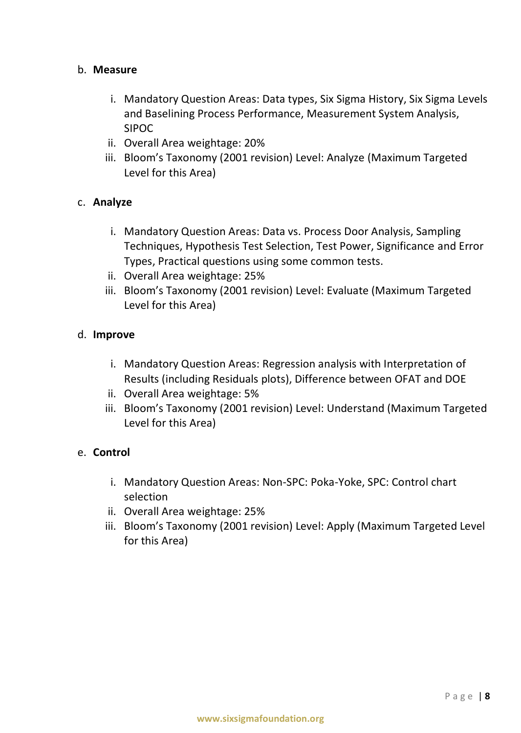#### b. **Measure**

- i. Mandatory Question Areas: Data types, Six Sigma History, Six Sigma Levels and Baselining Process Performance, Measurement System Analysis, SIPOC
- ii. Overall Area weightage: 20%
- iii. Bloom's Taxonomy (2001 revision) Level: Analyze (Maximum Targeted Level for this Area)

#### c. **Analyze**

- i. Mandatory Question Areas: Data vs. Process Door Analysis, Sampling Techniques, Hypothesis Test Selection, Test Power, Significance and Error Types, Practical questions using some common tests.
- ii. Overall Area weightage: 25%
- iii. Bloom's Taxonomy (2001 revision) Level: Evaluate (Maximum Targeted Level for this Area)

#### d. **Improve**

- i. Mandatory Question Areas: Regression analysis with Interpretation of Results (including Residuals plots), Difference between OFAT and DOE
- ii. Overall Area weightage: 5%
- iii. Bloom's Taxonomy (2001 revision) Level: Understand (Maximum Targeted Level for this Area)

#### e. **Control**

- i. Mandatory Question Areas: Non-SPC: Poka-Yoke, SPC: Control chart selection
- ii. Overall Area weightage: 25%
- iii. Bloom's Taxonomy (2001 revision) Level: Apply (Maximum Targeted Level for this Area)